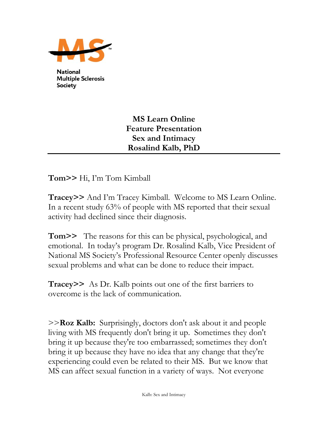

**National Multiple Sclerosis Society** 

> **MS Learn Online Feature Presentation Sex and Intimacy Rosalind Kalb, PhD**

**Tom>>** Hi, I'm Tom Kimball

**Tracey>>** And I'm Tracey Kimball. Welcome to MS Learn Online. In a recent study 63% of people with MS reported that their sexual activity had declined since their diagnosis.

**Tom>>** The reasons for this can be physical, psychological, and emotional. In today's program Dr. Rosalind Kalb, Vice President of National MS Society's Professional Resource Center openly discusses sexual problems and what can be done to reduce their impact.

**Tracey>>** As Dr. Kalb points out one of the first barriers to overcome is the lack of communication.

>>**Roz Kalb:** Surprisingly, doctors don't ask about it and people living with MS frequently don't bring it up. Sometimes they don't bring it up because they're too embarrassed; sometimes they don't bring it up because they have no idea that any change that they're experiencing could even be related to their MS. But we know that MS can affect sexual function in a variety of ways. Not everyone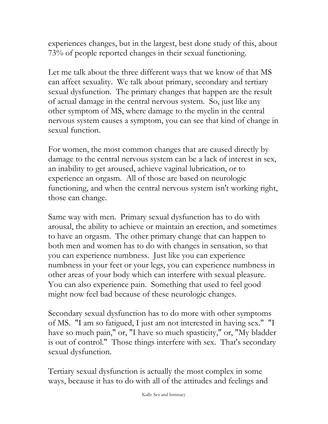experiences changes, but in the largest, best done study of this, about 73% of people reported changes in their sexual functioning.

Let me talk about the three different ways that we know of that MS can affect sexuality. We talk about primary, secondary and tertiary sexual dysfunction. The primary changes that happen are the result of actual damage in the central nervous system. So, just like any other symptom of MS, where damage to the myelin in the central nervous system causes a symptom, you can see that kind of change in sexual function.

For women, the most common changes that are caused directly by damage to the central nervous system can be a lack of interest in sex, an inability to get aroused, achieve vaginal lubrication, or to experience an orgasm. All of those are based on neurologic functioning, and when the central nervous system isn't working right, those can change.

Same way with men. Primary sexual dysfunction has to do with arousal, the ability to achieve or maintain an erection, and sometimes to have an orgasm. The other primary change that can happen to both men and women has to do with changes in sensation, so that you can experience numbness. Just like you can experience numbness in your feet or your legs, you can experience numbness in other areas of your body which can interfere with sexual pleasure. You can also experience pain. Something that used to feel good might now feel bad because of these neurologic changes.

Secondary sexual dysfunction has to do more with other symptoms of MS. "I am so fatigued, I just am not interested in having sex." "I have so much pain," or, "I have so much spasticity," or, "My bladder is out of control." Those things interfere with sex. That's secondary sexual dysfunction.

Tertiary sexual dysfunction is actually the most complex in some ways, because it has to do with all of the attitudes and feelings and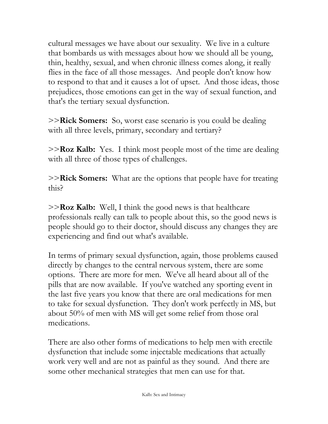cultural messages we have about our sexuality. We live in a culture that bombards us with messages about how we should all be young, thin, healthy, sexual, and when chronic illness comes along, it really flies in the face of all those messages. And people don't know how to respond to that and it causes a lot of upset. And those ideas, those prejudices, those emotions can get in the way of sexual function, and that's the tertiary sexual dysfunction.

>>**Rick Somers:** So, worst case scenario is you could be dealing with all three levels, primary, secondary and tertiary?

>>**Roz Kalb:** Yes. I think most people most of the time are dealing with all three of those types of challenges.

>>**Rick Somers:** What are the options that people have for treating this?

>>**Roz Kalb:** Well, I think the good news is that healthcare professionals really can talk to people about this, so the good news is people should go to their doctor, should discuss any changes they are experiencing and find out what's available.

In terms of primary sexual dysfunction, again, those problems caused directly by changes to the central nervous system, there are some options. There are more for men. We've all heard about all of the pills that are now available. If you've watched any sporting event in the last five years you know that there are oral medications for men to take for sexual dysfunction. They don't work perfectly in MS, but about 50% of men with MS will get some relief from those oral medications.

There are also other forms of medications to help men with erectile dysfunction that include some injectable medications that actually work very well and are not as painful as they sound. And there are some other mechanical strategies that men can use for that.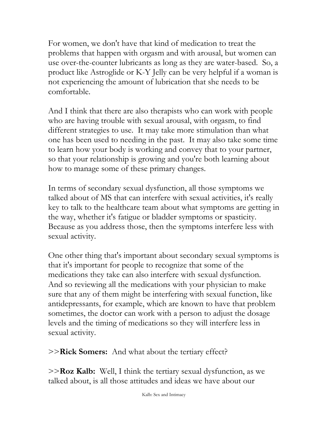For women, we don't have that kind of medication to treat the problems that happen with orgasm and with arousal, but women can use over-the-counter lubricants as long as they are water-based. So, a product like Astroglide or K-Y Jelly can be very helpful if a woman is not experiencing the amount of lubrication that she needs to be comfortable.

And I think that there are also therapists who can work with people who are having trouble with sexual arousal, with orgasm, to find different strategies to use. It may take more stimulation than what one has been used to needing in the past. It may also take some time to learn how your body is working and convey that to your partner, so that your relationship is growing and you're both learning about how to manage some of these primary changes.

In terms of secondary sexual dysfunction, all those symptoms we talked about of MS that can interfere with sexual activities, it's really key to talk to the healthcare team about what symptoms are getting in the way, whether it's fatigue or bladder symptoms or spasticity. Because as you address those, then the symptoms interfere less with sexual activity.

One other thing that's important about secondary sexual symptoms is that it's important for people to recognize that some of the medications they take can also interfere with sexual dysfunction. And so reviewing all the medications with your physician to make sure that any of them might be interfering with sexual function, like antidepressants, for example, which are known to have that problem sometimes, the doctor can work with a person to adjust the dosage levels and the timing of medications so they will interfere less in sexual activity.

>>**Rick Somers:** And what about the tertiary effect?

>>**Roz Kalb:** Well, I think the tertiary sexual dysfunction, as we talked about, is all those attitudes and ideas we have about our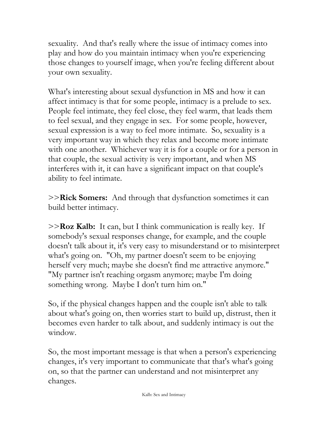sexuality. And that's really where the issue of intimacy comes into play and how do you maintain intimacy when you're experiencing those changes to yourself image, when you're feeling different about your own sexuality.

What's interesting about sexual dysfunction in MS and how it can affect intimacy is that for some people, intimacy is a prelude to sex. People feel intimate, they feel close, they feel warm, that leads them to feel sexual, and they engage in sex. For some people, however, sexual expression is a way to feel more intimate. So, sexuality is a very important way in which they relax and become more intimate with one another. Whichever way it is for a couple or for a person in that couple, the sexual activity is very important, and when MS interferes with it, it can have a significant impact on that couple's ability to feel intimate.

>>**Rick Somers:** And through that dysfunction sometimes it can build better intimacy.

>>**Roz Kalb:** It can, but I think communication is really key. If somebody's sexual responses change, for example, and the couple doesn't talk about it, it's very easy to misunderstand or to misinterpret what's going on. "Oh, my partner doesn't seem to be enjoying herself very much; maybe she doesn't find me attractive anymore." "My partner isn't reaching orgasm anymore; maybe I'm doing something wrong. Maybe I don't turn him on."

So, if the physical changes happen and the couple isn't able to talk about what's going on, then worries start to build up, distrust, then it becomes even harder to talk about, and suddenly intimacy is out the window.

So, the most important message is that when a person's experiencing changes, it's very important to communicate that that's what's going on, so that the partner can understand and not misinterpret any changes.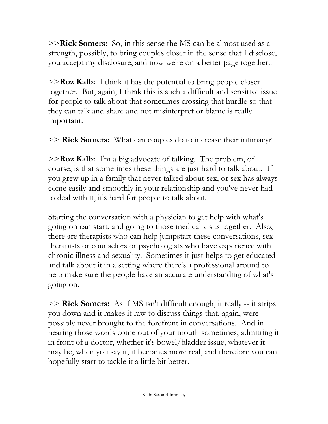>>**Rick Somers:** So, in this sense the MS can be almost used as a strength, possibly, to bring couples closer in the sense that I disclose, you accept my disclosure, and now we're on a better page together..

>>**Roz Kalb:** I think it has the potential to bring people closer together. But, again, I think this is such a difficult and sensitive issue for people to talk about that sometimes crossing that hurdle so that they can talk and share and not misinterpret or blame is really important.

>> **Rick Somers:** What can couples do to increase their intimacy?

>>**Roz Kalb:** I'm a big advocate of talking. The problem, of course, is that sometimes these things are just hard to talk about. If you grew up in a family that never talked about sex, or sex has always come easily and smoothly in your relationship and you've never had to deal with it, it's hard for people to talk about.

Starting the conversation with a physician to get help with what's going on can start, and going to those medical visits together. Also, there are therapists who can help jumpstart these conversations, sex therapists or counselors or psychologists who have experience with chronic illness and sexuality. Sometimes it just helps to get educated and talk about it in a setting where there's a professional around to help make sure the people have an accurate understanding of what's going on.

>> **Rick Somers:** As if MS isn't difficult enough, it really -- it strips you down and it makes it raw to discuss things that, again, were possibly never brought to the forefront in conversations. And in hearing those words come out of your mouth sometimes, admitting it in front of a doctor, whether it's bowel/bladder issue, whatever it may be, when you say it, it becomes more real, and therefore you can hopefully start to tackle it a little bit better.